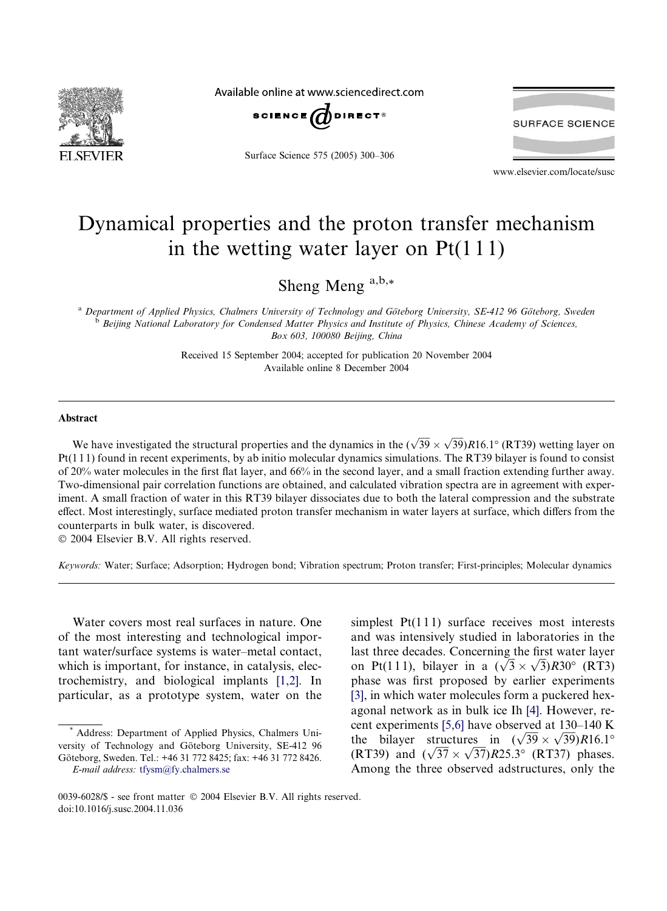

Available online at www.sciencedirect.com



Surface Science 575 (2005) 300–306



www.elsevier.com/locate/susc

## Dynamical properties and the proton transfer mechanism in the wetting water layer on  $Pt(111)$

Sheng Meng  $a,b,*$ 

<sup>a</sup> Department of Applied Physics, Chalmers University of Technology and Göteborg University, SE-412 96 Göteborg, Sweden<br><sup>b</sup> Beijing National Laboratory for Condensed Matter Physics and Institute of Physics, Chinese Academ Box 603, 100080 Beijing, China

> Received 15 September 2004; accepted for publication 20 November 2004 Available online 8 December 2004

## Abstract

We have investigated the structural properties and the dynamics in the  $(\sqrt{39} \times \sqrt{39})R16.1^\circ$  (RT39) wetting layer on Pt(1 1 1) found in recent experiments, by ab initio molecular dynamics simulations. The RT39 bilayer is found to consist of 20% water molecules in the first flat layer, and 66% in the second layer, and a small fraction extending further away. Two-dimensional pair correlation functions are obtained, and calculated vibration spectra are in agreement with experiment. A small fraction of water in this RT39 bilayer dissociates due to both the lateral compression and the substrate effect. Most interestingly, surface mediated proton transfer mechanism in water layers at surface, which differs from the counterparts in bulk water, is discovered.

 $© 2004 Elsevier B.V. All rights reserved.$ 

Keywords: Water; Surface; Adsorption; Hydrogen bond; Vibration spectrum; Proton transfer; First-principles; Molecular dynamics

Water covers most real surfaces in nature. One of the most interesting and technological important water/surface systems is water–metal contact, which is important, for instance, in catalysis, electrochemistry, and biological implants [\[1,2\].](#page-5-0) In particular, as a prototype system, water on the

simplest  $Pt(111)$  surface receives most interests and was intensively studied in laboratories in the last three decades. Concerning the first water layer ast three decades. Concerning the first water layer<br>on Pt(111), bilayer in a  $(\sqrt{3} \times \sqrt{3})R30^{\circ}$  (RT3) phase was first proposed by earlier experiments [\[3\],](#page-6-0) in which water molecules form a puckered hexagonal network as in bulk ice Ih [\[4\].](#page-6-0) However, recent experiments [\[5,6\]](#page-6-0) have observed at 130–140 K the bilayer structures in  $(\sqrt{39} \times \sqrt{39})$  R16.1<sup>o</sup> The bilayer structures in  $(\sqrt{39} \times \sqrt{39})$ R16.1<sup>-1</sup><br>(RT39) and  $(\sqrt{37} \times \sqrt{37})$ R25.3° (RT37) phases. Among the three observed adstructures, only the

Address: Department of Applied Physics, Chalmers University of Technology and Göteborg University, SE-412 96 Göteborg, Sweden. Tel.: +46 31 772 8425; fax: +46 31 772 8426. E-mail address: [tfysm@fy.chalmers.se](mailto:tfysm@fy.chalmers.se)

<sup>0039-6028/\$ -</sup> see front matter © 2004 Elsevier B.V. All rights reserved. doi:10.1016/j.susc.2004.11.036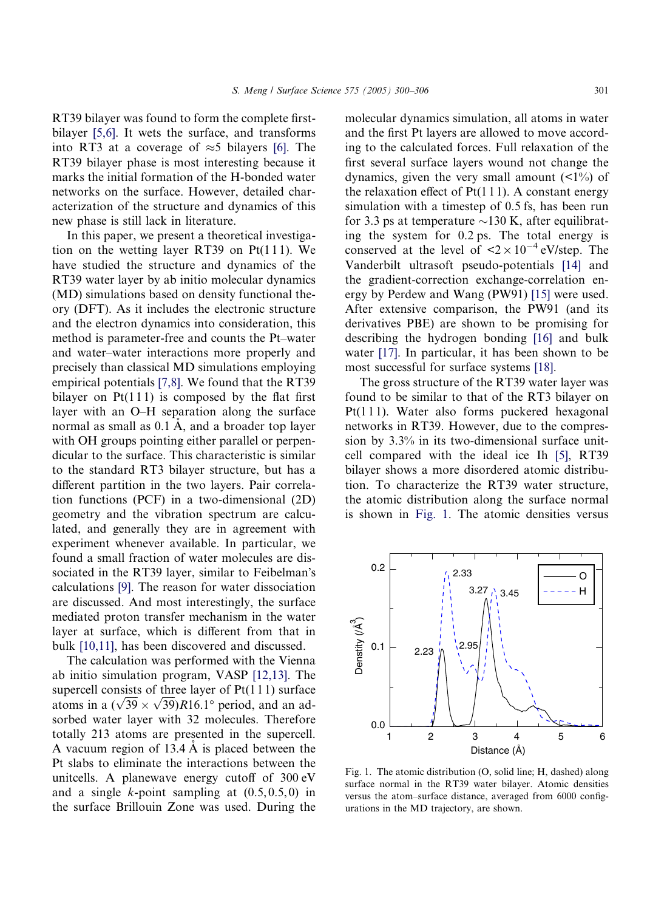<span id="page-1-0"></span>RT39 bilayer was found to form the complete firstbilayer [\[5,6\]](#page-6-0). It wets the surface, and transforms into RT3 at a coverage of  $\approx$ 5 bilayers [\[6\].](#page-6-0) The RT39 bilayer phase is most interesting because it marks the initial formation of the H-bonded water networks on the surface. However, detailed characterization of the structure and dynamics of this new phase is still lack in literature.

In this paper, we present a theoretical investigation on the wetting layer RT39 on  $Pt(111)$ . We have studied the structure and dynamics of the RT39 water layer by ab initio molecular dynamics (MD) simulations based on density functional theory (DFT). As it includes the electronic structure and the electron dynamics into consideration, this method is parameter-free and counts the Pt–water and water–water interactions more properly and precisely than classical MD simulations employing empirical potentials [\[7,8\]](#page-6-0). We found that the RT39 bilayer on  $Pt(111)$  is composed by the flat first layer with an O–H separation along the surface normal as small as  $0.1 \text{ Å}$ , and a broader top layer with OH groups pointing either parallel or perpendicular to the surface. This characteristic is similar to the standard RT3 bilayer structure, but has a different partition in the two layers. Pair correlation functions (PCF) in a two-dimensional (2D) geometry and the vibration spectrum are calculated, and generally they are in agreement with experiment whenever available. In particular, we found a small fraction of water molecules are dissociated in the RT39 layer, similar to Feibelman's calculations [\[9\].](#page-6-0) The reason for water dissociation are discussed. And most interestingly, the surface mediated proton transfer mechanism in the water layer at surface, which is different from that in bulk [\[10,11\]](#page-6-0), has been discovered and discussed.

The calculation was performed with the Vienna ab initio simulation program, VASP [\[12,13\]](#page-6-0). The supercell consists of three layer of  $Pt(111)$  surface supercent consists of three layer of P(111) surface<br>atoms in a  $(\sqrt{39} \times \sqrt{39})$ R16.1<sup>o</sup> period, and an adsorbed water layer with 32 molecules. Therefore totally 213 atoms are presented in the supercell. A vacuum region of  $13.4 \text{ Å}$  is placed between the Pt slabs to eliminate the interactions between the unitcells. A planewave energy cutoff of 300 eV and a single  $k$ -point sampling at  $(0.5, 0.5, 0)$  in the surface Brillouin Zone was used. During the

molecular dynamics simulation, all atoms in water and the first Pt layers are allowed to move according to the calculated forces. Full relaxation of the first several surface layers wound not change the dynamics, given the very small amount  $($ the relaxation effect of  $Pt(111)$ . A constant energy simulation with a timestep of 0.5 fs, has been run for 3.3 ps at temperature  $\sim$ 130 K, after equilibrating the system for 0.2ps. The total energy is conserved at the level of  $\leq 2 \times 10^{-4}$  eV/step. The Vanderbilt ultrasoft pseudo-potentials [\[14\]](#page-6-0) and the gradient-correction exchange-correlation energy by Perdew and Wang (PW91) [\[15\]](#page-6-0) were used. After extensive comparison, the PW91 (and its derivatives PBE) are shown to be promising for describing the hydrogen bonding [\[16\]](#page-6-0) and bulk water [\[17\]](#page-6-0). In particular, it has been shown to be most successful for surface systems [\[18\].](#page-6-0)

The gross structure of the RT39 water layer was found to be similar to that of the RT3 bilayer on Pt(111). Water also forms puckered hexagonal networks in RT39. However, due to the compression by 3.3% in its two-dimensional surface unitcell compared with the ideal ice Ih [\[5\],](#page-6-0) RT39 bilayer shows a more disordered atomic distribution. To characterize the RT39 water structure, the atomic distribution along the surface normal is shown in Fig. 1. The atomic densities versus



Fig. 1. The atomic distribution (O, solid line; H, dashed) along surface normal in the RT39 water bilayer. Atomic densities versus the atom–surface distance, averaged from 6000 configurations in the MD trajectory, are shown.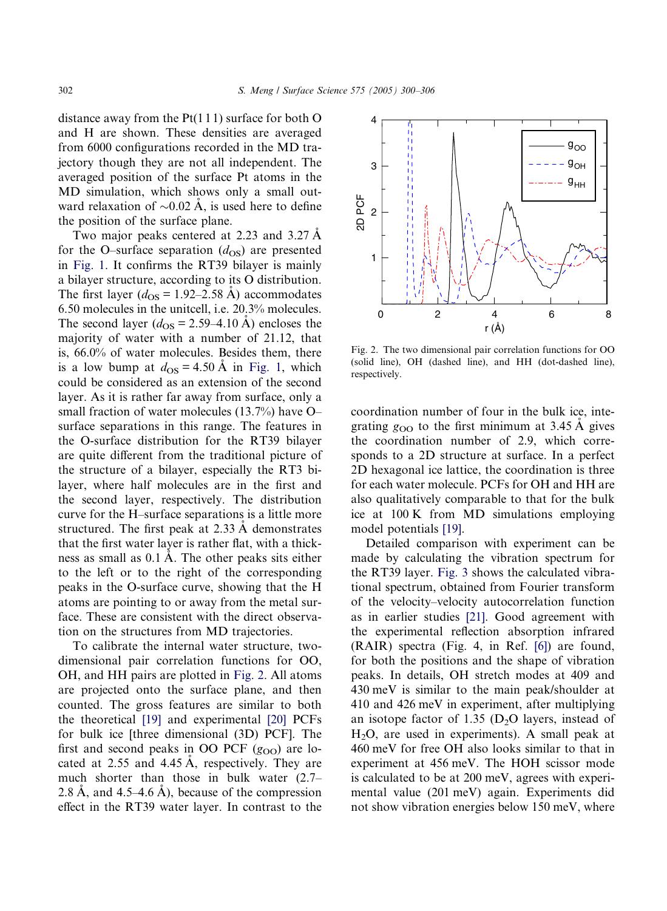<span id="page-2-0"></span>distance away from the  $Pt(111)$  surface for both O and H are shown. These densities are averaged from 6000 configurations recorded in the MD trajectory though they are not all independent. The averaged position of the surface Pt atoms in the MD simulation, which shows only a small outward relaxation of  $\sim 0.02$  Å, is used here to define the position of the surface plane.

Two major peaks centered at 2.23 and 3.27 A for the O–surface separation  $(d_{OS})$  are presented in [Fig. 1.](#page-1-0) It confirms the RT39 bilayer is mainly a bilayer structure, according to its O distribution. The first layer ( $d_{\text{OS}}$  = 1.92–2.58 Å) accommodates 6.50 molecules in the unitcell, i.e. 20.3% molecules. The second layer ( $d_{OS} = 2.59-4.10$  Å) encloses the majority of water with a number of 21.12, that is, 66.0% of water molecules. Besides them, there is a low bump at  $d_{\text{OS}} = 4.50 \text{ Å}$  in [Fig. 1,](#page-1-0) which could be considered as an extension of the second layer. As it is rather far away from surface, only a small fraction of water molecules (13.7%) have O– surface separations in this range. The features in the O-surface distribution for the RT39 bilayer are quite different from the traditional picture of the structure of a bilayer, especially the RT3 bilayer, where half molecules are in the first and the second layer, respectively. The distribution curve for the H–surface separations is a little more structured. The first peak at  $2.33 \text{ Å}$  demonstrates that the first water layer is rather flat, with a thickness as small as 0.1 Å. The other peaks sits either to the left or to the right of the corresponding peaks in the O-surface curve, showing that the H atoms are pointing to or away from the metal surface. These are consistent with the direct observation on the structures from MD trajectories.

To calibrate the internal water structure, twodimensional pair correlation functions for OO, OH, and HH pairs are plotted in Fig. 2. All atoms are projected onto the surface plane, and then counted. The gross features are similar to both the theoretical [\[19\]](#page-6-0) and experimental [\[20\]](#page-6-0) PCFs for bulk ice [three dimensional (3D) PCF]. The first and second peaks in OO PCF  $(g_{OO})$  are located at  $2.55$  and  $4.45$  Å, respectively. They are much shorter than those in bulk water (2.7– 2.8 Å, and 4.5–4.6 Å), because of the compression effect in the RT39 water layer. In contrast to the



Fig. 2. The two dimensional pair correlation functions for OO (solid line), OH (dashed line), and HH (dot-dashed line), respectively.

coordination number of four in the bulk ice, integrating  $g_{\text{OO}}$  to the first minimum at 3.45 Å gives the coordination number of 2.9, which corresponds to a 2D structure at surface. In a perfect 2D hexagonal ice lattice, the coordination is three for each water molecule. PCFs for OH and HH are also qualitatively comparable to that for the bulk ice at 100 K from MD simulations employing model potentials [\[19\].](#page-6-0)

Detailed comparison with experiment can be made by calculating the vibration spectrum for the RT39 layer. [Fig. 3](#page-3-0) shows the calculated vibrational spectrum, obtained from Fourier transform of the velocity–velocity autocorrelation function as in earlier studies [\[21\].](#page-6-0) Good agreement with the experimental reflection absorption infrared (RAIR) spectra (Fig. 4, in Ref. [\[6\]\)](#page-6-0) are found, for both the positions and the shape of vibration peaks. In details, OH stretch modes at 409 and 430 meV is similar to the main peak/shoulder at 410 and 426 meV in experiment, after multiplying an isotope factor of 1.35 ( $D_2O$  layers, instead of  $H<sub>2</sub>O$ , are used in experiments). A small peak at 460 meV for free OH also looks similar to that in experiment at 456 meV. The HOH scissor mode is calculated to be at 200 meV, agrees with experimental value (201 meV) again. Experiments did not show vibration energies below 150 meV, where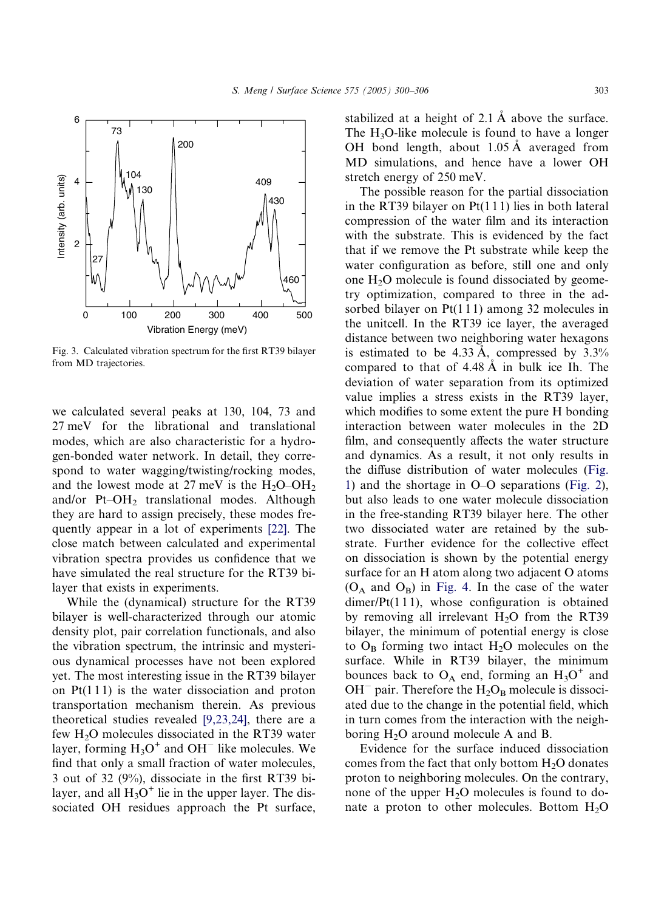<span id="page-3-0"></span>

Fig. 3. Calculated vibration spectrum for the first RT39 bilayer from MD trajectories.

we calculated several peaks at 130, 104, 73 and 27 meV for the librational and translational modes, which are also characteristic for a hydrogen-bonded water network. In detail, they correspond to water wagging/twisting/rocking modes, and the lowest mode at 27 meV is the  $H_2O-OH_2$ and/or Pt–OH2 translational modes. Although they are hard to assign precisely, these modes frequently appear in a lot of experiments [\[22\]](#page-6-0). The close match between calculated and experimental vibration spectra provides us confidence that we have simulated the real structure for the RT39 bilayer that exists in experiments.

While the (dynamical) structure for the RT39 bilayer is well-characterized through our atomic density plot, pair correlation functionals, and also the vibration spectrum, the intrinsic and mysterious dynamical processes have not been explored yet. The most interesting issue in the RT39 bilayer on  $Pt(111)$  is the water dissociation and proton transportation mechanism therein. As previous theoretical studies revealed [\[9,23,24\]](#page-6-0), there are a few  $H_2O$  molecules dissociated in the RT39 water layer, forming  $H_3O^+$  and  $OH^-$  like molecules. We find that only a small fraction of water molecules, 3 out of 32 (9%), dissociate in the first RT39 bilayer, and all  $H_3O^+$  lie in the upper layer. The dissociated OH residues approach the Pt surface,

stabilized at a height of  $2.1 \text{ Å}$  above the surface. The  $H_3O$ -like molecule is found to have a longer OH bond length, about 1.05 Å averaged from MD simulations, and hence have a lower OH stretch energy of 250 meV.

The possible reason for the partial dissociation in the RT39 bilayer on  $Pt(111)$  lies in both lateral compression of the water film and its interaction with the substrate. This is evidenced by the fact that if we remove the Pt substrate while keep the water configuration as before, still one and only one  $H<sub>2</sub>O$  molecule is found dissociated by geometry optimization, compared to three in the adsorbed bilayer on  $Pt(111)$  among 32 molecules in the unitcell. In the RT39 ice layer, the averaged distance between two neighboring water hexagons is estimated to be  $4.33 \text{ Å}$ , compressed by  $3.3\%$ compared to that of  $4.48 \text{ Å}$  in bulk ice Ih. The deviation of water separation from its optimized value implies a stress exists in the RT39 layer, which modifies to some extent the pure H bonding interaction between water molecules in the 2D film, and consequently affects the water structure and dynamics. As a result, it not only results in the diffuse distribution of water molecules ([Fig.](#page-1-0) [1\)](#page-1-0) and the shortage in O–O separations ([Fig. 2\)](#page-2-0), but also leads to one water molecule dissociation in the free-standing RT39 bilayer here. The other two dissociated water are retained by the substrate. Further evidence for the collective effect on dissociation is shown by the potential energy surface for an H atom along two adjacent O atoms  $(O_A \text{ and } O_B)$  in [Fig. 4](#page-4-0). In the case of the water  $dimer/Pt(111)$ , whose configuration is obtained by removing all irrelevant  $H_2O$  from the RT39 bilayer, the minimum of potential energy is close to  $O_B$  forming two intact  $H_2O$  molecules on the surface. While in RT39 bilayer, the minimum bounces back to  $O_A$  end, forming an  $H_3O^+$  and  $OH^-$  pair. Therefore the  $H_2O_B$  molecule is dissociated due to the change in the potential field, which in turn comes from the interaction with the neighboring  $H_2O$  around molecule A and B.

Evidence for the surface induced dissociation comes from the fact that only bottom  $H_2O$  donates proton to neighboring molecules. On the contrary, none of the upper  $H_2O$  molecules is found to donate a proton to other molecules. Bottom  $H_2O$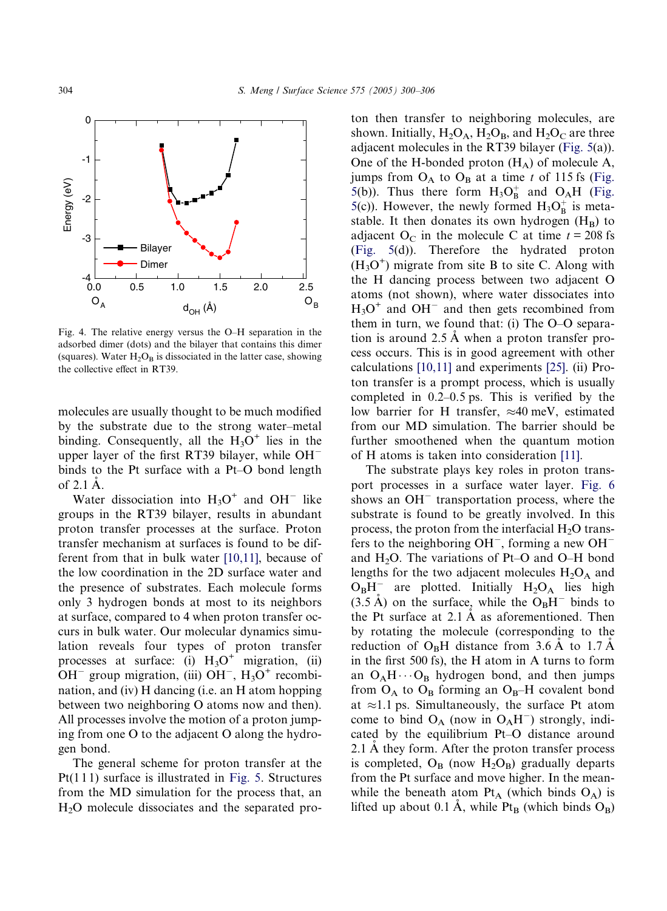<span id="page-4-0"></span>

Fig. 4. The relative energy versus the O–H separation in the adsorbed dimer (dots) and the bilayer that contains this dimer (squares). Water  $H_2O_B$  is dissociated in the latter case, showing the collective effect in RT39.

molecules are usually thought to be much modified by the substrate due to the strong water–metal binding. Consequently, all the  $H_3O^+$  lies in the upper layer of the first RT39 bilayer, while OH binds to the Pt surface with a Pt–O bond length of  $2.1$  A.

Water dissociation into  $H_3O^+$  and  $OH^-$  like groups in the RT39 bilayer, results in abundant proton transfer processes at the surface. Proton transfer mechanism at surfaces is found to be different from that in bulk water [\[10,11\],](#page-6-0) because of the low coordination in the 2D surface water and the presence of substrates. Each molecule forms only 3 hydrogen bonds at most to its neighbors at surface, compared to 4 when proton transfer occurs in bulk water. Our molecular dynamics simulation reveals four types of proton transfer processes at surface: (i)  $H_3O^+$  migration, (ii)  $OH^-$  group migration, (iii)  $OH^-$ ,  $H_3O^+$  recombination, and (iv) H dancing (i.e. an H atom hopping between two neighboring O atoms now and then). All processes involve the motion of a proton jumping from one O to the adjacent O along the hydrogen bond.

The general scheme for proton transfer at the  $Pt(111)$  surface is illustrated in [Fig. 5.](#page-5-0) Structures from the MD simulation for the process that, an  $H<sub>2</sub>O$  molecule dissociates and the separated proton then transfer to neighboring molecules, are shown. Initially,  $H_2O_A$ ,  $H_2O_B$ , and  $H_2O_C$  are three adjacent molecules in the RT39 bilayer [\(Fig. 5](#page-5-0)(a)). One of the H-bonded proton  $(H_A)$  of molecule A, jumps from  $O_A$  to  $O_B$  at a time t of 115 fs ([Fig.](#page-5-0) [5\(](#page-5-0)b)). Thus there form  $H_3O_B^+$  and  $O_AH$  ([Fig.](#page-5-0) [5\(](#page-5-0)c)). However, the newly formed  $H_3O_B^+$  is metastable. It then donates its own hydrogen  $(H_B)$  to adjacent O<sub>C</sub> in the molecule C at time  $t = 208$  fs ([Fig. 5\(](#page-5-0)d)). Therefore the hydrated proton  $(H<sub>3</sub>O<sup>+</sup>)$  migrate from site B to site C. Along with the H dancing process between two adjacent O atoms (not shown), where water dissociates into  $H<sub>3</sub>O<sup>+</sup>$  and OH<sup>-</sup> and then gets recombined from them in turn, we found that: (i) The O–O separation is around  $2.5 \text{ Å}$  when a proton transfer process occurs. This is in good agreement with other calculations [\[10,11\]](#page-6-0) and experiments [\[25\]](#page-6-0). (ii) Proton transfer is a prompt process, which is usually completed in 0.2–0.5 ps. This is verified by the low barrier for H transfer,  $\approx 40$  meV, estimated from our MD simulation. The barrier should be further smoothened when the quantum motion of H atoms is taken into consideration [\[11\]](#page-6-0).

The substrate plays key roles in proton transport processes in a surface water layer. [Fig. 6](#page-5-0) shows an  $OH^-$  transportation process, where the substrate is found to be greatly involved. In this process, the proton from the interfacial  $H_2O$  transfers to the neighboring  $OH^-$ , forming a new  $OH^$ and  $H_2O$ . The variations of Pt–O and O–H bond lengths for the two adjacent molecules  $H_2O_A$  and  $O_BH^-$  are plotted. Initially  $H_2O_A$  lies high  $(3.5 \text{ Å})$  on the surface, while the O<sub>B</sub>H<sup>-</sup> binds to the Pt surface at  $2.1 \text{ Å}$  as aforementioned. Then by rotating the molecule (corresponding to the reduction of  $O_BH$  distance from 3.6 A to 1.7 A in the first 500 fs), the H atom in A turns to form an  $O_A H \cdots O_B$  hydrogen bond, and then jumps from  $O_A$  to  $O_B$  forming an  $O_B$ –H covalent bond at  $\approx$ 1.1 ps. Simultaneously, the surface Pt atom come to bind  $O_A$  (now in  $O_AH^-$ ) strongly, indicated by the equilibrium Pt–O distance around 2.1 A they form. After the proton transfer process is completed,  $O_B$  (now  $H_2O_B$ ) gradually departs from the Pt surface and move higher. In the meanwhile the beneath atom  $Pt_A$  (which binds  $O_A$ ) is lifted up about 0.1 A, while  $Pt_B$  (which binds  $O_B$ )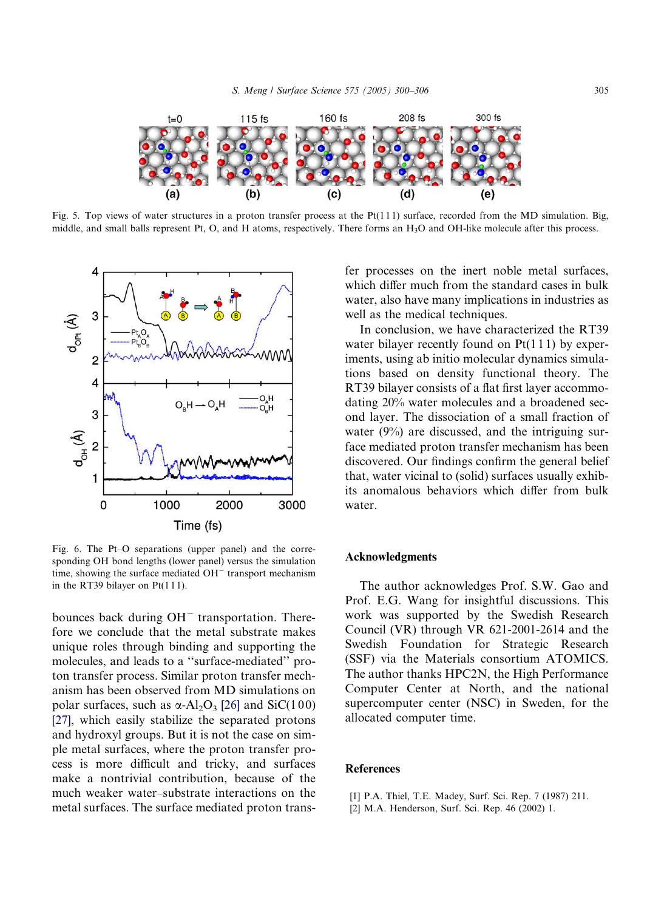<span id="page-5-0"></span>

Fig. 5. Top views of water structures in a proton transfer process at the  $Pt(111)$  surface, recorded from the MD simulation. Big, middle, and small balls represent Pt, O, and H atoms, respectively. There forms an H3O and OH-like molecule after this process.



Fig. 6. The Pt–O separations (upper panel) and the corresponding OH bond lengths (lower panel) versus the simulation time, showing the surface mediated  $OH^-$  transport mechanism in the RT39 bilayer on  $Pt(111)$ .

bounces back during  $OH^-$  transportation. Therefore we conclude that the metal substrate makes unique roles through binding and supporting the molecules, and leads to a ''surface-mediated'' proton transfer process. Similar proton transfer mechanism has been observed from MD simulations on polar surfaces, such as  $\alpha$ -Al<sub>2</sub>O<sub>3</sub> [\[26\]](#page-6-0) and SiC(100) [\[27\],](#page-6-0) which easily stabilize the separated protons and hydroxyl groups. But it is not the case on simple metal surfaces, where the proton transfer process is more difficult and tricky, and surfaces make a nontrivial contribution, because of the much weaker water–substrate interactions on the metal surfaces. The surface mediated proton transfer processes on the inert noble metal surfaces, which differ much from the standard cases in bulk water, also have many implications in industries as well as the medical techniques.

In conclusion, we have characterized the RT39 water bilayer recently found on  $Pt(111)$  by experiments, using ab initio molecular dynamics simulations based on density functional theory. The RT39 bilayer consists of a flat first layer accommodating 20% water molecules and a broadened second layer. The dissociation of a small fraction of water (9%) are discussed, and the intriguing surface mediated proton transfer mechanism has been discovered. Our findings confirm the general belief that, water vicinal to (solid) surfaces usually exhibits anomalous behaviors which differ from bulk water.

## Acknowledgments

The author acknowledges Prof. S.W. Gao and Prof. E.G. Wang for insightful discussions. This work was supported by the Swedish Research Council (VR) through VR 621-2001-2614 and the Swedish Foundation for Strategic Research (SSF) via the Materials consortium ATOMICS. The author thanks HPC2N, the High Performance Computer Center at North, and the national supercomputer center (NSC) in Sweden, for the allocated computer time.

## **References**

- [1] P.A. Thiel, T.E. Madey, Surf. Sci. Rep. 7 (1987) 211.
- [2] M.A. Henderson, Surf. Sci. Rep. 46 (2002) 1.